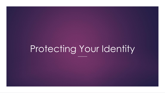# Protecting Your Identity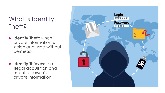## What is Identity Theft?

- **Identity Theft: when** private information is stolen and used without permission
- **Identity Thieves:** the illegal acquisition and use of a person's private information

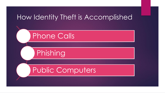## How Identity Theft is Accomplished

## Phone Calls

Phishing

## Public Computers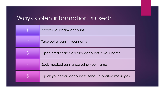## Ways stolen information is used:

|   | Access your bank account                               |
|---|--------------------------------------------------------|
|   | Take out a loan in your name                           |
| 3 | Open credit cards or utility accounts in your name     |
|   | Seek medical assistance using your name                |
|   | Hijack your email account to send unsolicited messages |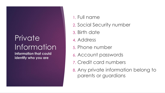## Private Information

**Information that could identify who you are**

- 1. Full name
- 2. Social Security number
- 3. Birth date
- 4. Address
- 5. Phone number
- 6. Account passwords
- 7. Credit card numbers
- 8. Any private information belong to parents or guardians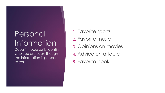## Personal Information

Doesn't necessarily identify who you are even though the information is personal to you

- 1. Favorite sports
- 2. Favorite music
- 3. Opinions on movies
- 4. Advice on a topic
- 5. Favorite book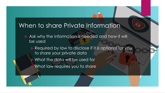#### When to share Private Information

- Ask why the information is needed and how it will be used
	- Required by law to disclose if it is optional for you to share your private data
		- What the data will be used for
		- What law requires you to share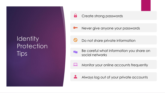## Identity **Protection** Tips

Create strong passwords

Never give anyone your passwords

Do not share private information

- Be careful what information you share on **Tim** social networks
- $\Box$ Monitor your online accounts frequently



8

Always log out of your private accounts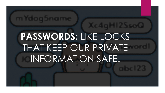# **PASSWORDS:** LIKE LOCKS THAT KEEP OUR PRIVATE INFORMATION SAFE.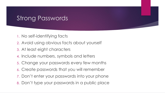#### Strong Passwords

- 1. No self-identifying facts
- 2. Avoid using obvious facts about yourself
- 3. At least eight characters
- 4. Include numbers, symbols and letters
- 5. Change your passwords every few months
- 6. Create passwords that you will remember
- 7. Don't enter your passwords into your phone
- 8. Don't type your passwords in a public place